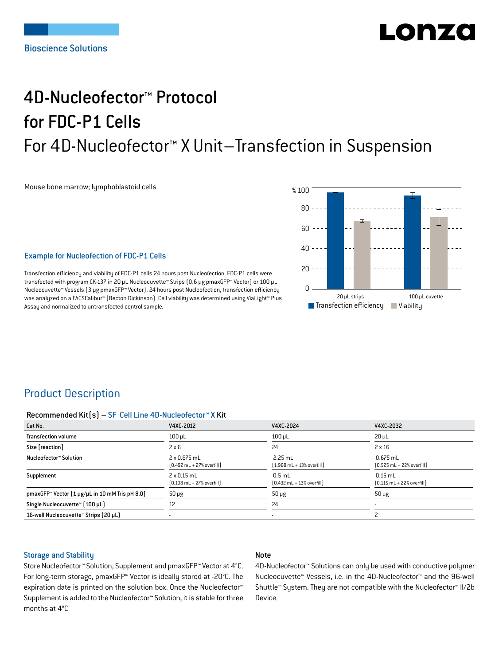# Lonzo

## 4D-Nucleofector™ Protocol for FDC-P1 Cells For 4D-Nucleofector™ X Unit–Transfection in Suspension

Mouse bone marrow; lymphoblastoid cells

 20 µL strips 100 µL cuvette  $\blacksquare$  Transfection efficiency % 100  $80 -$ 60 40  $20$  $\Omega$ **Viability** 

## Example for Nucleofection of FDC-P1 Cells

Transfection efficiency and viability of FDC-P1 cells 24 hours post Nucleofection. FDC-P1 cells were transfected with program CK-137 in 20 μL Nucleocuvette™ Strips (0.6 μg pmaxGFP™ Vector) or 100 μL Nucleocuvette™ Vessels (3 μg pmaxGFP™ Vector). 24 hours post Nucleofection, transfection efficiency was analyzed on a FACSCalibur™ (Becton Dickinson). Cell viability was determined using ViaLight™ Plus Assay and normalized to untransfected control sample.

## Product Description

#### Recommended Kit(s) – SF Cell Line 4D-Nucleofector™ X Kit

| Cat No.                                                           | V4XC-2012                                                          | V4XC-2024                                                 | V4XC-2032                                                  |
|-------------------------------------------------------------------|--------------------------------------------------------------------|-----------------------------------------------------------|------------------------------------------------------------|
| <b>Transfection volume</b>                                        | $100 \mu L$                                                        | $100$ $\mu$ L                                             | $20 \mu L$                                                 |
| Size [reaction]                                                   | $2 \times 6$                                                       | 24                                                        | $2 \times 16$                                              |
| Nucleofector™ Solution                                            | 2 x 0.675 mL<br>$[0.492 \text{ mL} + 27\% \text{ overfill}]$       | $2.25$ mL<br>$[1.968 \text{ mL} + 13\% \text{ overfill}]$ | $0.675$ mL<br>$[0.525 \text{ mL} + 22\% \text{ overfill}]$ |
| Supplement                                                        | $2 \times 0.15$ mL<br>$[0.108 \text{ mL} + 27\% \text{ overfill}]$ | $0.5$ mL<br>$[0.432 \text{ mL} + 13\% \text{ overfill}]$  | $0.15$ mL<br>$[0.115 \text{ mL} + 22\% \text{ overfill}]$  |
| pmaxGFP <sup>*</sup> Vector $[1 \mu g/\mu L$ in 10 mM Tris pH 8.0 | $50 \mu g$                                                         | $50 \mu g$                                                | $50 \mu g$                                                 |
| Single Nucleocuvette™ [100 µL]                                    | 12                                                                 | 24                                                        | ٠                                                          |
| 16-well Nucleocuvette™ Strips (20 µL)                             |                                                                    |                                                           |                                                            |

## Storage and Stability

#### Note

Store Nucleofector™ Solution, Supplement and pmaxGFP™ Vector at 4°C. For long-term storage, pmaxGFP™ Vector is ideally stored at -20°C. The expiration date is printed on the solution box. Once the Nucleofector™ Supplement is added to the Nucleofector™ Solution, it is stable for three months at 4°C

4D-Nucleofector™ Solutions can only be used with conductive polymer Nucleocuvette™ Vessels, i.e. in the 4D-Nucleofector™ and the 96-well Shuttle™ System. They are not compatible with the Nucleofector™ II/2b Device.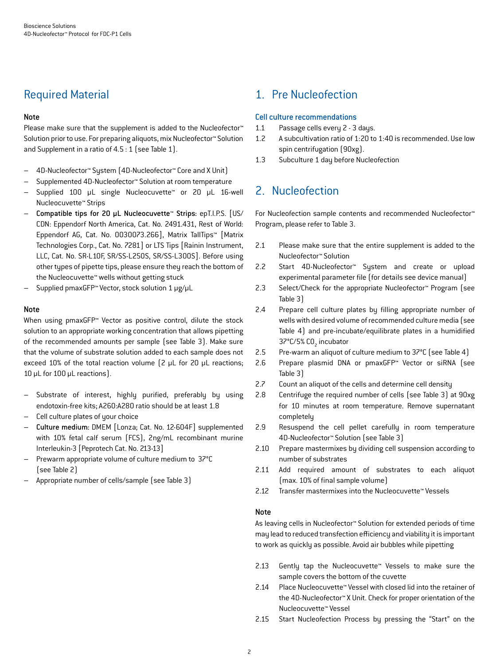## Required Material

## Note

Please make sure that the supplement is added to the Nucleofector<sup>™</sup> Solution prior to use. For preparing aliquots, mix Nucleofector™ Solution and Supplement in a ratio of 4.5 : 1 (see Table 1).

- 4D-Nucleofector™ System (4D-Nucleofector™ Core and X Unit)
- Supplemented 4D-Nucleofector™ Solution at room temperature
- Supplied 100 µL single Nucleocuvette™ or 20 µL 16-well Nucleocuvette™ Strips
- Compatible tips for 20 µL Nucleocuvette™ Strips: epT.I.P.S. [US/ CDN: Eppendorf North America, Cat. No. 2491.431, Rest of World: Eppendorf AG, Cat. No. 0030073.266], Matrix TallTips™ [Matrix Technologies Corp., Cat. No. 7281] or LTS Tips [Rainin Instrument, LLC, Cat. No. SR-L10F, SR/SS-L250S, SR/SS-L300S]. Before using other types of pipette tips, please ensure they reach the bottom of the Nucleocuvette™ wells without getting stuck
- Supplied pmaxGFP™ Vector, stock solution 1 μg/μL

## Note

When using pmaxGFP™ Vector as positive control, dilute the stock solution to an appropriate working concentration that allows pipetting of the recommended amounts per sample (see Table 3). Make sure that the volume of substrate solution added to each sample does not exceed 10% of the total reaction volume (2 μL for 20 μL reactions; 10 μL for 100 μL reactions).

- Substrate of interest, highly purified, preferably by using endotoxin-free kits; A260:A280 ratio should be at least 1.8
- Cell culture plates of your choice
- Culture medium: DMEM [Lonza; Cat. No. 12-604F] supplemented with 10% fetal calf serum (FCS), 2ng/mL recombinant murine Interleukin-3 [Peprotech Cat. No. 213-13]
- Prewarm appropriate volume of culture medium to 37°C (see Table 2)
- Appropriate number of cells/sample (see Table 3)

## 1. Pre Nucleofection

## Cell culture recommendations

- 1.1 Passage cells every 2 3 days.
- 1.2 A subcultivation ratio of 1:20 to 1:40 is recommended. Use low spin centrifugation (90xg).
- 1.3 Subculture 1 day before Nucleofection

## 2. Nucleofection

For Nucleofection sample contents and recommended Nucleofector™ Program, please refer to Table 3.

- 2.1 Please make sure that the entire supplement is added to the Nucleofector™ Solution
- 2.2 Start 4D-Nucleofector™ System and create or upload experimental parameter file (for details see device manual)
- 2.3 Select/Check for the appropriate Nucleofector™ Program (see Table 3)
- 2.4 Prepare cell culture plates by filling appropriate number of wells with desired volume of recommended culture media (see Table 4) and pre-incubate/equilibrate plates in a humidified 37°C/5% CO<sub>2</sub> incubator
- 2.5 Pre-warm an aliquot of culture medium to 37°C (see Table 4)
- 2.6 Prepare plasmid DNA or pmaxGFP™ Vector or siRNA (see Table 3)
- 2.7 Count an aliquot of the cells and determine cell density
- 2.8 Centrifuge the required number of cells (see Table 3) at 90xg for 10 minutes at room temperature. Remove supernatant completely
- 2.9 Resuspend the cell pellet carefully in room temperature 4D-Nucleofector™ Solution (see Table 3)
- 2.10 Prepare mastermixes by dividing cell suspension according to number of substrates
- 2.11 Add required amount of substrates to each aliquot (max. 10% of final sample volume)
- 2.12 Transfer mastermixes into the Nucleocuvette™ Vessels

## Note

As leaving cells in Nucleofector™ Solution for extended periods of time may lead to reduced transfection efficiency and viability it is important to work as quickly as possible. Avoid air bubbles while pipetting

- 2.13 Gently tap the Nucleocuvette™ Vessels to make sure the sample covers the bottom of the cuvette
- 2.14 Place Nucleocuvette™ Vessel with closed lid into the retainer of the 4D-Nucleofector™ X Unit. Check for proper orientation of the Nucleocuvette™ Vessel
- 2.15 Start Nucleofection Process by pressing the "Start" on the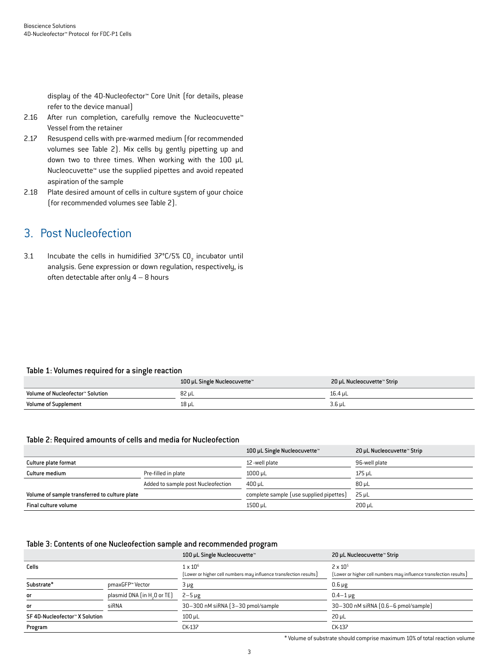display of the 4D-Nucleofector™ Core Unit (for details, please refer to the device manual)

- 2.16 After run completion, carefully remove the Nucleocuvette<sup>™</sup> Vessel from the retainer
- 2.17 Resuspend cells with pre-warmed medium (for recommended volumes see Table 2). Mix cells by gently pipetting up and down two to three times. When working with the 100 µL Nucleocuvette™ use the supplied pipettes and avoid repeated aspiration of the sample
- 2.18 Plate desired amount of cells in culture system of your choice (for recommended volumes see Table 2).

## 3. Post Nucleofection

3.1 Incubate the cells in humidified  $37^{\circ}$ C/5% CO<sub>2</sub> incubator until analysis. Gene expression or down regulation, respectively, is often detectable after only  $4 - 8$  hours

#### Table 1: Volumes required for a single reaction

|                                  | 100 µL Single Nucleocuvette™ | 20 µL Nucleocuvette™ Strip |
|----------------------------------|------------------------------|----------------------------|
| Volume of Nucleofector™ Solution | 82 uL                        | 16.4 uL                    |
| <b>Volume of Supplement</b>      | 18 uL                        | $3.6$ µL                   |

#### Table 2: Required amounts of cells and media for Nucleofection

|                                               |                                    | 100 µL Single Nucleocuvette™            | 20 µL Nucleocuvette™ Strip |
|-----------------------------------------------|------------------------------------|-----------------------------------------|----------------------------|
| Culture plate format                          |                                    | 12 - well plate                         | 96-well plate              |
| Culture medium                                | Pre-filled in plate                | $1000 \mu L$                            | 175 µL                     |
|                                               | Added to sample post Nucleofection | $400 \,\mathrm{\upmu L}$                | $80 \mu L$                 |
| Volume of sample transferred to culture plate |                                    | complete sample (use supplied pipettes) | $25 \mu L$                 |
| Final culture volume                          |                                    | 1500 µL                                 | 200 uL                     |

#### Table 3: Contents of one Nucleofection sample and recommended program

|                                |                                         | 100 µL Single Nucleocuvette™                                                         | 20 µL Nucleocuvette™ Strip                                                             |
|--------------------------------|-----------------------------------------|--------------------------------------------------------------------------------------|----------------------------------------------------------------------------------------|
| Cells                          |                                         | $1 \times 10^6$<br>(Lower or higher cell numbers may influence transfection results) | $2 \times 10^{5}$<br>[Lower or higher cell numbers may influence transfection results] |
| Substrate*                     | pmaxGFP™ Vector                         | 3 µg                                                                                 | $0.6 \mu g$                                                                            |
| <b>or</b>                      | plasmid DNA (in H <sub>2</sub> O or TE) | $2-5 \mu g$                                                                          | $0.4 - 1 \mu g$                                                                        |
| <b>or</b>                      | siRNA                                   | 30-300 nM siRNA (3-30 pmol/sample                                                    | 30-300 nM siRNA (0.6-6 pmol/sample)                                                    |
| SF 4D-Nucleofector™ X Solution |                                         | $100$ $\mu$ L                                                                        | $20 \mu L$                                                                             |
| Program                        |                                         | CK-137                                                                               | CK-137                                                                                 |

\* Volume of substrate should comprise maximum 10% of total reaction volume